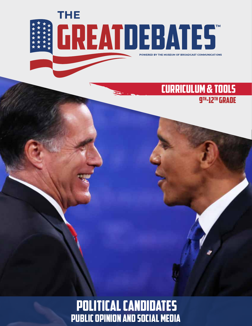

## CURRICULUM & TOOLS 9th-12th Grade

POLITICAL CANDIDATES public opinion and social media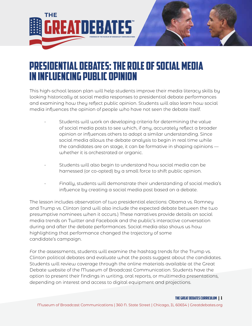

# Presidential Debates: The Role of Social Media in Influencing Public Opinion

This high-school lesson plan will help students improve their media literacy skills by looking historically at social media responses to presidential debate performances and examining how they reflect public opinion. Students will also learn how social media influences the opinion of people who have not seen the debate itself.

- Students will work on developing criteria for determining the value of social media posts to see which, if any, accurately reflect a broader opinion or influences others to adopt a similar understanding. Since social media allows the debate analysis to begin in real time while the candidates are on stage, it can be formative in shaping opinions whether it is orchestrated or organic.
- Students will also begin to understand how social media can be harnessed (or co-opted) by a small force to shift public opinion.
- Finally, students will demonstrate their understanding of social media's influence by creating a social media post based on a debate.

The lesson includes observation of two presidential elections: Obama vs. Romney and Trump vs. Clinton (and will also include the expected debate between the two presumptive nominees when it occurs.) These narratives provide details on social media trends on Twitter and Facebook and the public's interactive conversation during and after the debate performances. Social media also shows us how highlighting that performance changed the trajectory of some candidate's campaign.

For the assessments, students will examine the hashtag trends for the Trump vs. Clinton political debates and evaluate what the posts suggest about the candidates. Students will review coverage through the online materials available at the Great Debate website of the Museum of Broadcast Communication. Students have the option to present their findings in writing, oral reports, or multimedia presentations, depending on interest and access to digital equipment and projections.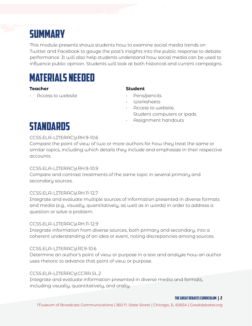# **SUMMARY**

This module presents shows students how to examine social media trends on Twitter and Facebook to gauge the post's insights into the public response to debate performance. It will also help students understand how social media can be used to influence public opinion. Students will look at both historical and current campaigns.

# MATERIALS NEEDED

#### **Teacher Student**

• Access to website • Pens/pencils

- 
- Worksheets
- Access to website, Student computers or ipads
- Assignment handouts

# **STANDARDS**

### CCSS.ELA-LITERACY.RH.9-10.6

Compare the point of view of two or more authors for how they treat the same or similar topics, including which details they include and emphasize in their respective accounts.

### CCSS.ELA-LITERACY.RH.9-10.9

Compare and contrast treatments of the same topic in several primary and secondary sources.

### CCSS.ELA-LITERACY.RH.11-12.7

Integrate and evaluate multiple sources of information presented in diverse formats and media (e.g., visually, quantitatively, as well as in words) in order to address a question or solve a problem.

### CCSS.ELA-LITERACY.RH.11-12.9

Integrate information from diverse sources, both primary and secondary, into a coherent understanding of an idea or event, noting discrepancies among sources.

### CCSS.ELA-LITERACY.RI.9-10.6

Determine an author's point of view or purpose in a text and analyze how an author uses rhetoric to advance that point of view or purpose.

### CCSS.ELA-LITERACY.CCRA.SL.2

Integrate and evaluate information presented in diverse media and formats, including visually, quantitatively, and orally.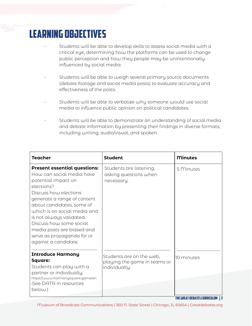# LEARNING OBJECTIVES

- Students will be able to develop skills to assess social media with a critical eye, determining how the platforms can be used to change public perception and how they people may be unintentionally influenced by social media.
- Students will be able to weigh several primary source documents (debate footage and social media posts) to evaluate accuracy and effectiveness of the posts.
- Students will be able to verbalize why someone would use social media to influence public opinion on political candidates.
- Students will be able to demonstrate an understanding of social media and debate information by presenting their findings in diverse formats, including writing, audio/visual, and spoken.

| <b>Teacher</b>                                                                                                                                                                                                                                                                                                                                                        | <b>Student</b>                                                            | <b>Minutes</b> |
|-----------------------------------------------------------------------------------------------------------------------------------------------------------------------------------------------------------------------------------------------------------------------------------------------------------------------------------------------------------------------|---------------------------------------------------------------------------|----------------|
| <b>Present essential questions:</b><br>How can social media have<br>potential impact on<br>elections?<br>Discuss how elections<br>generate a range of content<br>about candidates, some of<br>which is on social media and<br>is not always validated.<br>Discuss how some social<br>media posts are biased and<br>serve as propaganda for or<br>against a candidate. | Students are listening,<br>asking questions when<br>necessary.            | 5 Minutes      |
| <b>Introduce Harmony</b><br><b>Square:</b><br>Students can play with a<br>partner or individually.<br>https://www.harmonysquare.game/en<br>(See DATA in resources<br>below.)                                                                                                                                                                                          | Students are on the web,<br>playing the game in teams or<br>individually. | 10 minutes     |

THE GREAT DEBATES curriculum | 3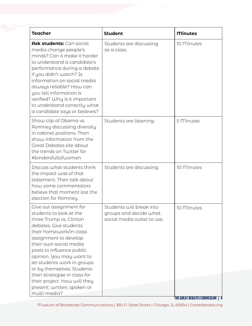| <b>Teacher</b>                                                                                                                                                                                                                                                                                                                                                                                             | <b>Student</b>                                                                    | <b>Minutes</b>                      |
|------------------------------------------------------------------------------------------------------------------------------------------------------------------------------------------------------------------------------------------------------------------------------------------------------------------------------------------------------------------------------------------------------------|-----------------------------------------------------------------------------------|-------------------------------------|
| Ask students: Can social<br>media change people's<br>minds? Can it make it harder<br>to understand a candidate's<br>performance during a debate<br>if you didn't watch? Is<br>information on social media<br>always reliable? How can<br>you tell information is<br>verified? Why is it important<br>to understand correctly what<br>a candidate says or believes?                                         | Students are discussing<br>as a class.                                            | 10 Minutes                          |
| Show clip of Obama vs.<br>Romney discussing diversity<br>in cabinet positions. Then<br>show information from the<br>Great Debates site about<br>the trends on Twitter for<br>#bindersfullofwomen                                                                                                                                                                                                           | Students are listening.                                                           | 5 Minutes                           |
| Discuss what students think<br>the impact was of that<br>statement. Then talk about<br>how some commentators<br>believe that moment lost the<br>election for Romney.                                                                                                                                                                                                                                       | Students are discussing.                                                          | 10 Minutes                          |
| Give out assignment for<br>students to look at the<br>three Trump vs. Clinton<br>debates. Give students<br>their homework/in-class<br>assignment to develop<br>their own social media<br>posts to influence public<br>opinion. You may want to<br>let students work in groups<br>or by themselves. Students<br>then strategize in class for<br>their project. How will they<br>present: written, spoken or | Students will break into<br>groups and decide what<br>social media outlet to use. | 10 Minutes                          |
| multi-media?                                                                                                                                                                                                                                                                                                                                                                                               |                                                                                   | <b>THE GREAT DEBATES CURRICULUM</b> |

Museum of Broadcast Communications | 360 N. State Street | Chicago, IL 60654 | Greatdebates.org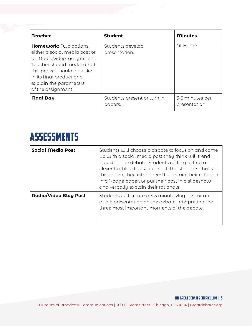| <b>Teacher</b>                                                                                                                                                                                                                 | <b>Student</b>                         | <b>Minutes</b>                  |
|--------------------------------------------------------------------------------------------------------------------------------------------------------------------------------------------------------------------------------|----------------------------------------|---------------------------------|
| Homework: Two options,<br>either a social media post or<br>an Audio/video assignment.<br>Teacher should model what<br>this project would look like<br>in its final product and<br>explain the parameters<br>of the assignment. | Students develop<br>presentation.      | At Home                         |
| <b>Final Day</b>                                                                                                                                                                                                               | Students present or turn in<br>papers. | 3-5 minutes per<br>presentation |

# **ASSESSMENTS**

| <b>Social Media Post</b>     | Students will choose a debate to focus on and come<br>up with a social media post they think will trend<br>based on the debate. Students will try to find a<br>clever hashtag to use with it. If the students choose<br>this option, they either need to explain their rationale<br>in a 1-page paper, or put their post in a slideshow<br>and verbally explain their rationale. |
|------------------------------|----------------------------------------------------------------------------------------------------------------------------------------------------------------------------------------------------------------------------------------------------------------------------------------------------------------------------------------------------------------------------------|
| <b>Audio/Video Blog Post</b> | Students will create a 3-5 minute vlog post or an<br>audio presentation on the debate, interpreting the<br>three most important moments of the debate.                                                                                                                                                                                                                           |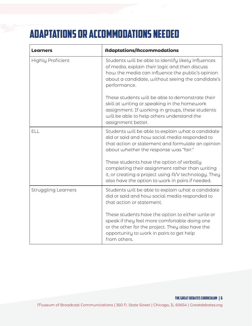# Adaptations or Accommodations needed

| Learners                   | <b>Adaptations/Accommodations</b>                                                                                                                                                                                              |
|----------------------------|--------------------------------------------------------------------------------------------------------------------------------------------------------------------------------------------------------------------------------|
| <b>Highly Proficient</b>   | Students will be able to identify likely influences<br>of media, explain their logic and then discuss<br>how the media can influence the public's opinion<br>about a candidate, without seeing the candidate's<br>performance. |
|                            | These students will be able to demonstrate their<br>skill at writing or speaking in the homework<br>assignment. If working in groups, these students<br>will be able to help others understand the<br>assignment better.       |
| ELL                        | Students will be able to explain what a candidate<br>did or said and how social media responded to<br>that action or statement and formulate an opinion<br>about whether the response was "fair."                              |
|                            | These students have the option of verbally<br>completing their assignment rather than writing<br>it, or creating a project using A/V technology. They<br>also have the option to work in pairs if needed.                      |
| <b>Struggling Learners</b> | Students will be able to explain what a candidate<br>did or said and how social media responded to<br>that action or statement.                                                                                                |
|                            | These students have the option to either write or<br>speak if they feel more comfortable doing one<br>or the other for the project. They also have the<br>opportunity to work in pairs to get help<br>from others.             |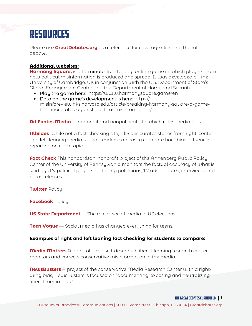# resources

Please use **[GreatDebates.org](https://www.greatdebates.org)** as a reference for coverage clips and the full debate.

#### **Additional websites:**

**Harmony Square,** is a 10-minute, free-to-play online game in which players learn [how political misinformation is produced and spread. It was developed by the](https://www.harmonysquare.game/en)  University of Cambridge, UK in conjunction with the U.S. Department of State's Global Engagement Center and the Department of Homeland Security.

- Play the game here: https://www.harmonysquare.game/en
- $\bullet$  Data on the game's development is here: https:// [misinforeview.hks.harvard.edu/article/breaking-harmony-square-a-game](https://misinforeview.hks.harvard.edu/article/breaking-harmony-square-a-game-that-inoculates-against-political-misinformation/?utm_source=Daily+Lab+email+list&utm_campaign=e2d120ee6e-dailylabemail3&utm_medium=email&utm_term=0_d68264fd5e-e2d120ee6e-396166185&fbclid=IwAR3wKUlySzklz4VQtJT2-6x1wW1NZk7hk5CVXaexnAWTlrxOBJ579uO72GI)that-inoculates-against-political-misinformation/

**Ad Fontes Media** [— nonprofit and nonpolitical site which rates media bias.](http://www.adfontesmedia.com)

**AllSides** While not a fact-checking site, AllSides curates stories from right, center [and left-leaning media so that readers can easily compare how bias influences](https://www.allsides.com/unbiased-balanced-news)  reporting on each topic.

**Fact Check** This nonpartisan, nonprofit project of the Annenberg Public Policy Center of the University of Pennsylvania monitors the factual accuracy of what is [said by U.S. political players, including politicians, TV ads, debates, interviews and](https://www.factcheck.org)  news releases.

**[Twitter](https://help.twitter.com/en/rules-and-policies/election-integrity-policy)** Policy

**[Facebook](https://www.facebook.com/help/1952307158131536)** Policy

**US State Department** [— The role of social media in US elections.](https://www.state.gov/elections-101-the-role-of-social-media-in-us-elections) 

**Teen Vogue** [— Social media has changed everything for teens.](https://www.teenvogue.com/story/social-media-activism-changed-everything)

### **Examples of right and left leaning fact checking for students to compare:**

**Media Matters** A nonprofit and self-described liberal-leaning research center [monitors and corrects conservative misinformation in the media.](https://www.mediamatters.org)

**NewsBusters** A project of the conservative Media Research Center with a right[wing bias, NewsBusters is focused on "documenting, exposing and neutralizing](https://www.newsbusters.org)  liberal media bias."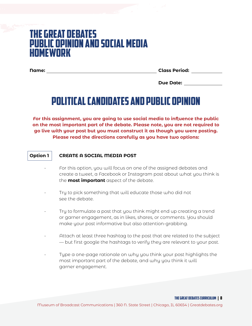## The Great Debates Public opinion and social media HOMEWORK

**Name: Class Period:**

**Due Date:**

# Political candidates and public opinion

**For this assignment, you are going to use social media to influence the public on the most important part of the debate. Please note, you are not required to go live with your post but you must construct it as though you were posting. Please read the directions carefully as you have two options:** 

#### **Option 1 CREATE A SOCIAL MEDIA POST**

- For this option, you will focus on one of the assigned debates and create a tweet, a Facebook or Instagram post about what you think is the **most important** aspect of the debate.
- Try to pick something that will educate those who did not see the debate.
- Try to formulate a post that you think might end up creating a trend or garner engagement, as in likes, shares, or comments. You should make your post informative but also attention-grabbing.
- Attach at least three hashtag to the post that are related to the subject — but first google the hashtags to verify they are relevant to your post.
- Type a one-page rationale on why you think your post highlights the most important part of the debate, and why you think it will garner engagement.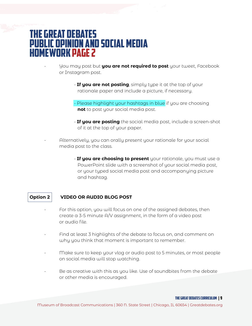## The Great Debates Public opinion and social media HOMEWORK page 2

• You may post but **you are not required to post** your tweet, Facebook or Instagram post.

- **If you are not posting**, simply type it at the top of your rationale paper and include a picture, if necessary.
- Please highlight your hashtags in blue if you are choosing **not** to post your social media post.
- **If you are posting** the social media post, include a screen-shot of it at the top of your paper.
- Alternatively, you can orally present your rationale for your social media post to the class.
	- **If you are choosing to present** your rationale, you must use a PowerPoint slide with a screenshot of your social media post, or your typed social media post and accompanying picture and hashtag.

### **Option 2 VIDEO OR AUDIO BLOG POST**

- For this option, you will focus on one of the assigned debates, then create a 3-5 minute A/V assignment, in the form of a video post or audio file.
- Find at least 3 highlights of the debate to focus on, and comment on why you think that moment is important to remember.
- Make sure to keep your vlog or audio post to 5 minutes, or most people on social media will stop watching.
- Be as creative with this as you like. Use of soundbites from the debate or other media is encouraged.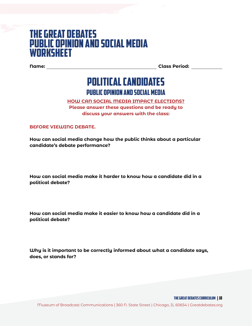### The Great Debates Public opinion and social media **WORKSHEET**

**Name: Class Period:**

### Political candidates public opinion and social media

### **HOW CAN SOCIAL MEDIA IMPACT ELECTIONS? Please answer these questions and be ready to discuss your answers with the class:**

**BEFORE VIEWING DEBATE.**

**How can social media change how the public thinks about a particular candidate's debate performance?** 

**How can social media make it harder to know how a candidate did in a political debate?** 

**How can social media make it easier to know how a candidate did in a political debate?** 

**Why is it important to be correctly informed about what a candidate says, does, or stands for?** 

THE GREAT DEBATES curriculum | 10

Museum of Broadcast Communications | 360 N. State Street | Chicago, IL 60654 | Greatdebates.org